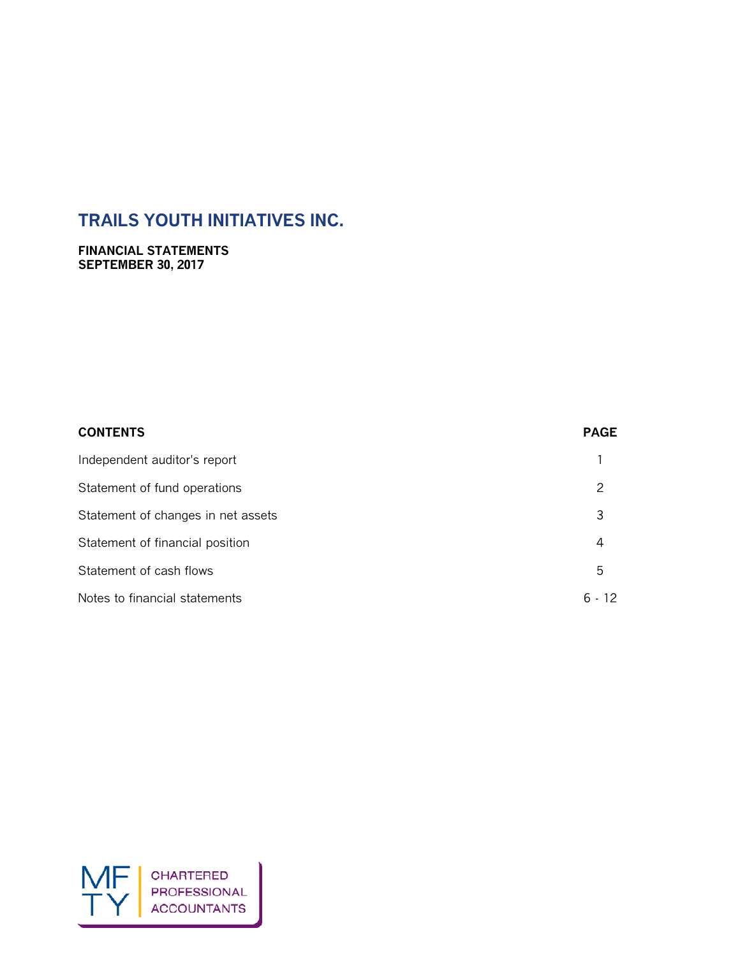## **TRAILS YOUTH INITIATIVES INC.**

**FINANCIAL STATEMENTS SEPTEMBER 30, 2017**

| <b>CONTENTS</b>                    | <b>PAGE</b> |
|------------------------------------|-------------|
| Independent auditor's report       |             |
| Statement of fund operations       | 2           |
| Statement of changes in net assets | 3           |
| Statement of financial position    | 4           |
| Statement of cash flows            | 5           |
| Notes to financial statements      | $6 - 12$    |

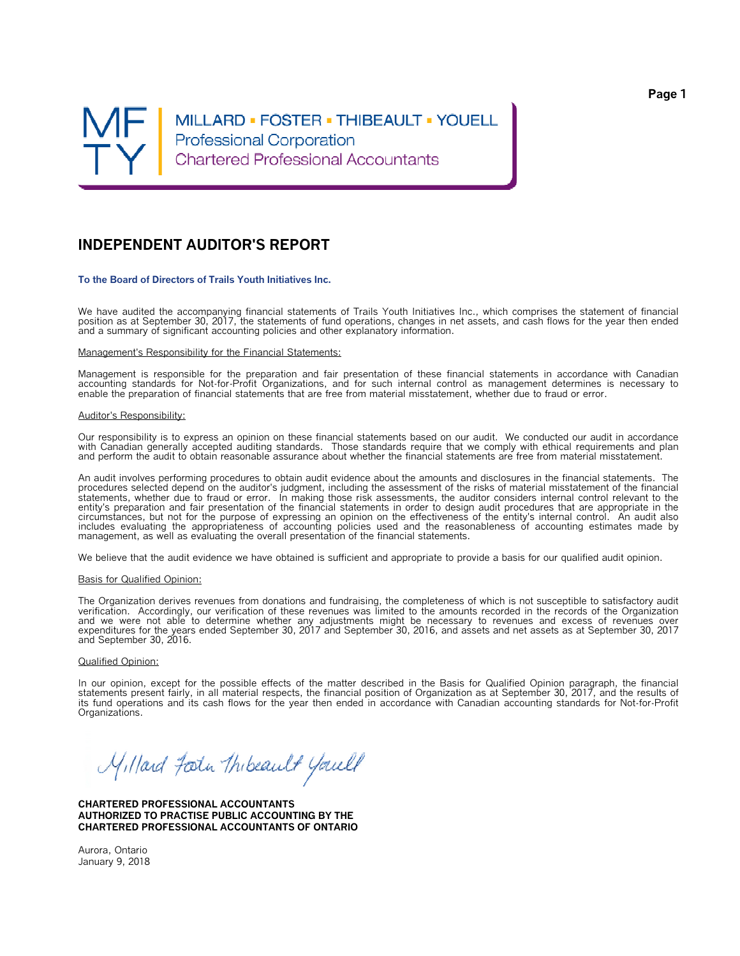

## **INDEPENDENT AUDITOR'S REPORT**

#### **To the Board of Directors of Trails Youth Initiatives Inc.**

We have audited the accompanying financial statements of Trails Youth Initiatives Inc., which comprises the statement of financial position as at September 30, 2017, the statements of fund operations, changes in net assets, and cash flows for the year then ended and a summary of significant accounting policies and other explanatory information.

#### Management's Responsibility for the Financial Statements:

Management is responsible for the preparation and fair presentation of these financial statements in accordance with Canadian accounting standards for Not-for-Profit Organizations, and for such internal control as management determines is necessary to enable the preparation of financial statements that are free from material misstatement, whether due to fraud or error.

#### Auditor's Responsibility:

Our responsibility is to express an opinion on these financial statements based on our audit. We conducted our audit in accordance with Canadian generally accepted auditing standards. Those standards require that we comply with ethical requirements and plan and perform the audit to obtain reasonable assurance about whether the financial statements are free from material misstatement.

An audit involves performing procedures to obtain audit evidence about the amounts and disclosures in the financial statements. The procedures selected depend on the auditor's judgment, including the assessment of the risks of material misstatement of the financial statements, whether due to fraud or error. In making those risk assessments, the auditor considers internal control relevant to the entity's preparation and fair presentation of the financial statements in order to design audit procedures that are appropriate in the circumstances, but not for the purpose of expressing an opinion on the effectiveness of the entity's internal control. An audit also includes evaluating the appropriateness of accounting policies used and the reasonableness of accounting estimates made by management, as well as evaluating the overall presentation of the financial statements.

We believe that the audit evidence we have obtained is sufficient and appropriate to provide a basis for our qualified audit opinion.

#### Basis for Qualified Opinion:

The Organization derives revenues from donations and fundraising, the completeness of which is not susceptible to satisfactory audit verification. Accordingly, our verification of these revenues was limited to the amounts recorded in the records of the Organization and we were not able to determine whether any adjustments might be necessary to revenues and excess of revenues over expenditures for the years ended September 30, 2017 and September 30, 2016, and assets and net assets as at September 30, 2017 and September 30, 2016.

#### Qualified Opinion:

In our opinion, except for the possible effects of the matter described in the Basis for Qualified Opinion paragraph, the financial statements present fairly, in all material respects, the financial position of Organization as at September 30, 2017, and the results of its fund operations and its cash flows for the year then ended in accordance with Canadian accounting standards for Not-for-Profit Organizations.

Millard Footh Thibeault You'll

#### **CHARTERED PROFESSIONAL ACCOUNTANTS AUTHORIZED TO PRACTISE PUBLIC ACCOUNTING BY THE CHARTERED PROFESSIONAL ACCOUNTANTS OF ONTARIO**

Aurora, Ontario January 9, 2018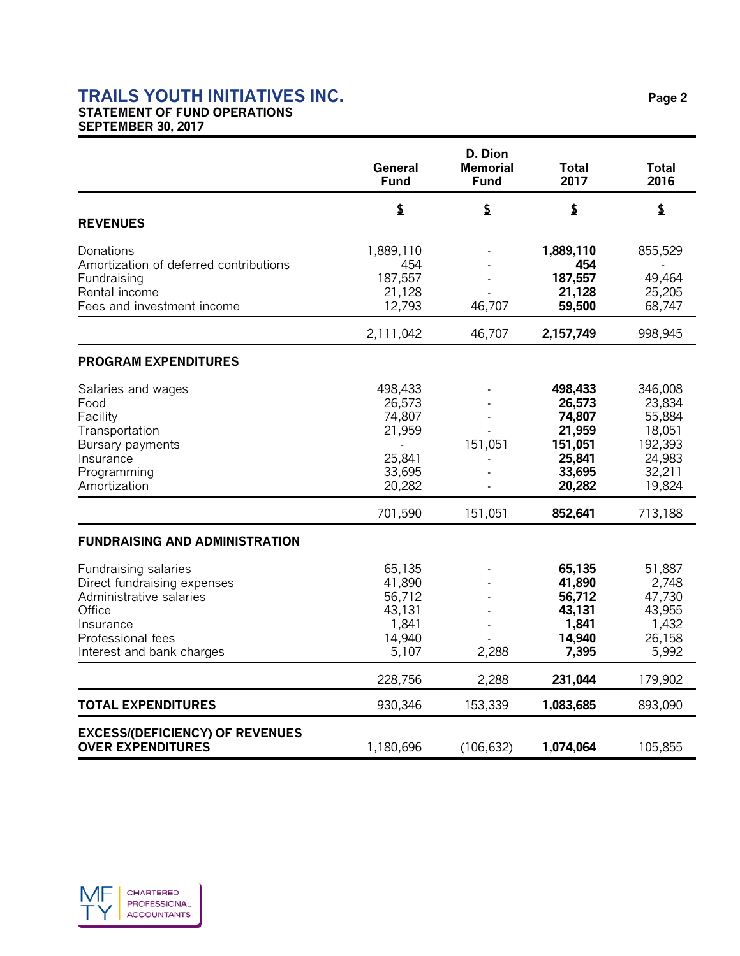## **TRAILS YOUTH INITIATIVES INC. Page 2**

## **STATEMENT OF FUND OPERATIONS**

**SEPTEMBER 30, 2017**

|                                                                                                                                                         | General<br><b>Fund</b>                                              | D. Dion<br><b>Memorial</b><br><b>Fund</b> | <b>Total</b><br>2017                                                           | <b>Total</b><br>2016                                                           |
|---------------------------------------------------------------------------------------------------------------------------------------------------------|---------------------------------------------------------------------|-------------------------------------------|--------------------------------------------------------------------------------|--------------------------------------------------------------------------------|
| <b>REVENUES</b>                                                                                                                                         | $\frac{1}{2}$                                                       | \$                                        | $\frac{1}{2}$                                                                  | $\frac{1}{2}$                                                                  |
| Donations<br>Amortization of deferred contributions<br>Fundraising<br>Rental income<br>Fees and investment income                                       | 1,889,110<br>454<br>187,557<br>21,128<br>12,793                     | 46,707                                    | 1,889,110<br>454<br>187,557<br>21,128<br>59,500                                | 855,529<br>49,464<br>25,205<br>68,747                                          |
|                                                                                                                                                         | 2,111,042                                                           | 46,707                                    | 2,157,749                                                                      | 998,945                                                                        |
| <b>PROGRAM EXPENDITURES</b>                                                                                                                             |                                                                     |                                           |                                                                                |                                                                                |
| Salaries and wages<br>Food<br>Facility<br>Transportation<br>Bursary payments<br>Insurance<br>Programming<br>Amortization                                | 498,433<br>26,573<br>74,807<br>21,959<br>25,841<br>33,695<br>20,282 | 151,051                                   | 498,433<br>26,573<br>74,807<br>21,959<br>151,051<br>25,841<br>33,695<br>20,282 | 346,008<br>23,834<br>55,884<br>18,051<br>192,393<br>24,983<br>32,211<br>19,824 |
|                                                                                                                                                         | 701,590                                                             | 151,051                                   | 852,641                                                                        | 713,188                                                                        |
| <b>FUNDRAISING AND ADMINISTRATION</b>                                                                                                                   |                                                                     |                                           |                                                                                |                                                                                |
| Fundraising salaries<br>Direct fundraising expenses<br>Administrative salaries<br>Office<br>Insurance<br>Professional fees<br>Interest and bank charges | 65,135<br>41,890<br>56,712<br>43,131<br>1,841<br>14,940<br>5,107    | 2,288                                     | 65,135<br>41,890<br>56,712<br>43,131<br>1,841<br>14,940<br>7,395               | 51,887<br>2,748<br>47,730<br>43,955<br>1,432<br>26,158<br>5,992                |
|                                                                                                                                                         | 228,756                                                             | 2,288                                     | 231,044                                                                        | 179,902                                                                        |
| <b>TOTAL EXPENDITURES</b>                                                                                                                               | 930,346                                                             | 153,339                                   | 1,083,685                                                                      | 893,090                                                                        |
| <b>EXCESS/(DEFICIENCY) OF REVENUES</b><br><b>OVER EXPENDITURES</b>                                                                                      | 1,180,696                                                           | (106, 632)                                | 1,074,064                                                                      | 105,855                                                                        |

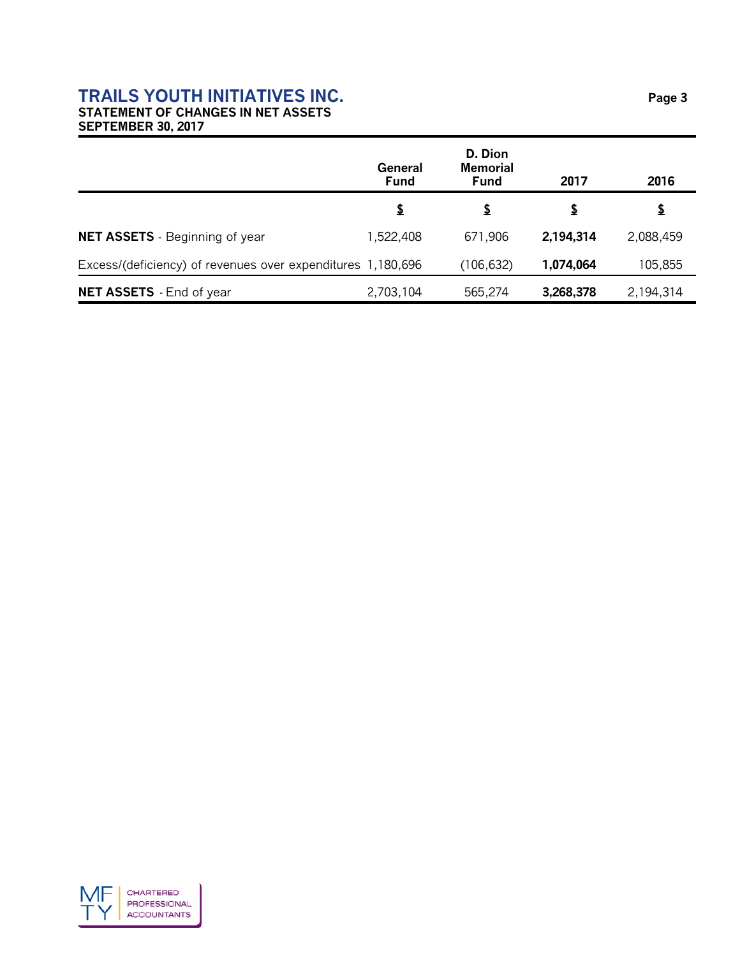## **TRAILS YOUTH INITIATIVES INC. Page 3**

# **STATEMENT OF CHANGES IN NET ASSETS**

**SEPTEMBER 30, 2017**

|                                                             | General<br>Fund | D. Dion<br><b>Memorial</b><br><b>Fund</b> | 2017      | 2016      |
|-------------------------------------------------------------|-----------------|-------------------------------------------|-----------|-----------|
|                                                             | \$              | S                                         | \$        | \$        |
| <b>NET ASSETS</b> - Beginning of year                       | 1,522,408       | 671,906                                   | 2,194,314 | 2,088,459 |
| Excess/(deficiency) of revenues over expenditures 1,180,696 |                 | (106, 632)                                | 1,074,064 | 105,855   |
| <b>NET ASSETS</b> - End of year                             | 2,703,104       | 565.274                                   | 3,268,378 | 2,194,314 |

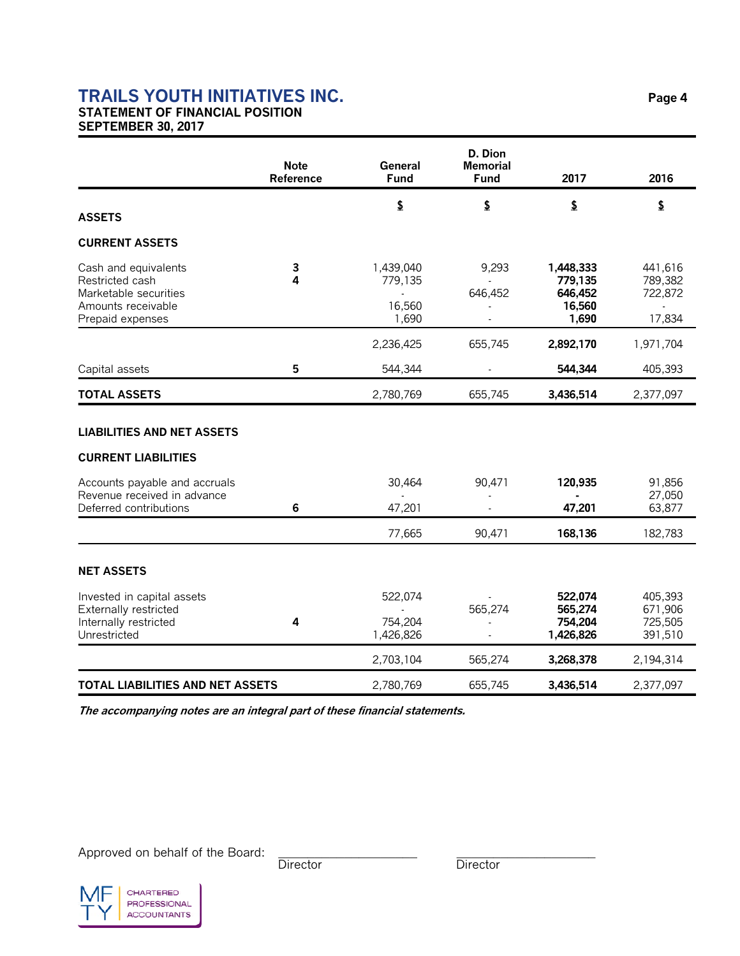## **TRAILS YOUTH INITIATIVES INC. Page 4**

# **STATEMENT OF FINANCIAL POSITION**

**SEPTEMBER 30, 2017**

|                                                                                                            | <b>Note</b><br>Reference | General<br>Fund                         | D. Dion<br><b>Memorial</b><br>Fund | 2017                                               | 2016                                     |
|------------------------------------------------------------------------------------------------------------|--------------------------|-----------------------------------------|------------------------------------|----------------------------------------------------|------------------------------------------|
| <b>ASSETS</b>                                                                                              |                          | $\frac{1}{2}$                           | $\frac{1}{2}$                      | $\frac{1}{2}$                                      | $\frac{1}{2}$                            |
| <b>CURRENT ASSETS</b>                                                                                      |                          |                                         |                                    |                                                    |                                          |
| Cash and equivalents<br>Restricted cash<br>Marketable securities<br>Amounts receivable<br>Prepaid expenses | 3<br>4                   | 1,439,040<br>779,135<br>16,560<br>1,690 | 9,293<br>646,452                   | 1,448,333<br>779,135<br>646,452<br>16,560<br>1,690 | 441,616<br>789,382<br>722,872<br>17,834  |
|                                                                                                            |                          | 2,236,425                               | 655,745                            | 2,892,170                                          | 1,971,704                                |
| Capital assets                                                                                             | 5                        | 544,344                                 |                                    | 544,344                                            | 405,393                                  |
| <b>TOTAL ASSETS</b>                                                                                        |                          | 2,780,769                               | 655,745                            | 3,436,514                                          | 2,377,097                                |
| <b>LIABILITIES AND NET ASSETS</b><br><b>CURRENT LIABILITIES</b>                                            |                          |                                         |                                    |                                                    |                                          |
| Accounts payable and accruals<br>Revenue received in advance<br>Deferred contributions                     | 6                        | 30,464<br>47,201                        | 90,471                             | 120,935<br>47,201                                  | 91,856<br>27,050<br>63,877               |
|                                                                                                            |                          | 77,665                                  | 90,471                             | 168,136                                            | 182,783                                  |
| <b>NET ASSETS</b>                                                                                          |                          |                                         |                                    |                                                    |                                          |
| Invested in capital assets<br><b>Externally restricted</b><br>Internally restricted<br>Unrestricted        | 4                        | 522,074<br>754,204<br>1,426,826         | 565,274                            | 522,074<br>565,274<br>754,204<br>1,426,826         | 405,393<br>671,906<br>725,505<br>391,510 |
|                                                                                                            |                          | 2,703,104                               | 565,274                            | 3,268,378                                          | 2,194,314                                |
| TOTAL LIABILITIES AND NET ASSETS                                                                           |                          | 2,780,769                               | 655,745                            | 3,436,514                                          | 2,377,097                                |

**The accompanying notes are an integral part of these financial statements.**

Approved on behalf of the Board: Director

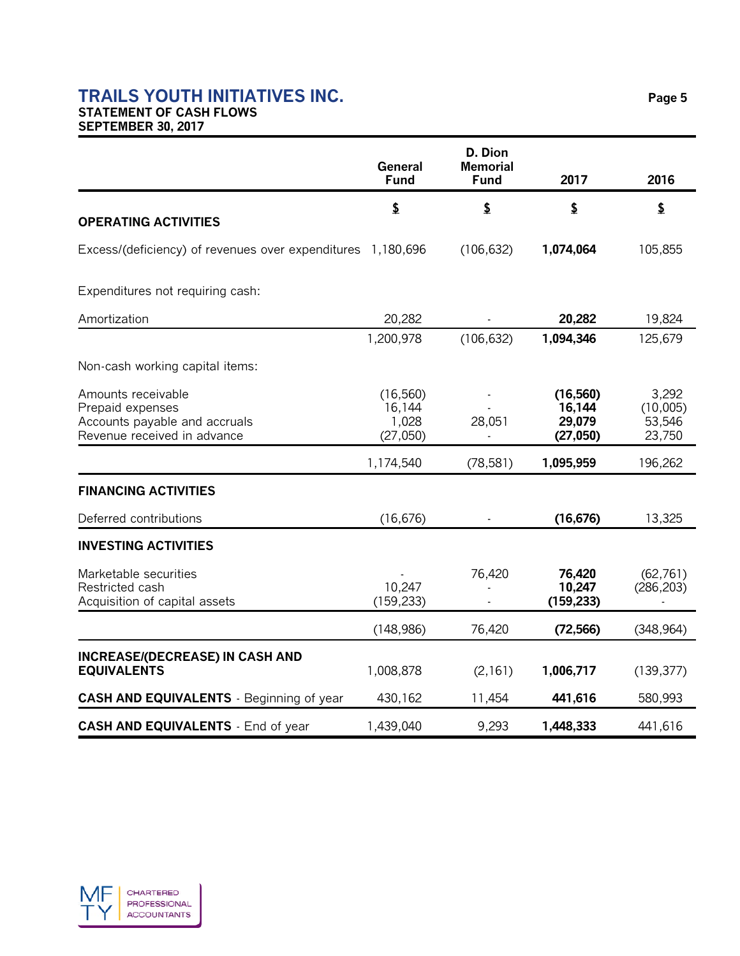## **TRAILS YOUTH INITIATIVES INC. Page 5 STATEMENT OF CASH FLOWS**

**SEPTEMBER 30, 2017**

|                                                                                                        | <b>General</b><br><b>Fund</b>            | D. Dion<br><b>Memorial</b><br>Fund | 2017                                       | 2016                                  |
|--------------------------------------------------------------------------------------------------------|------------------------------------------|------------------------------------|--------------------------------------------|---------------------------------------|
| <b>OPERATING ACTIVITIES</b>                                                                            | $\frac{2}{3}$                            | $\frac{1}{2}$                      | $\frac{1}{2}$                              | $\frac{1}{2}$                         |
| Excess/(deficiency) of revenues over expenditures 1,180,696                                            |                                          | (106, 632)                         | 1,074,064                                  | 105,855                               |
| Expenditures not requiring cash:                                                                       |                                          |                                    |                                            |                                       |
| Amortization                                                                                           | 20,282                                   |                                    | 20,282                                     | 19,824                                |
|                                                                                                        | 1,200,978                                | (106, 632)                         | 1,094,346                                  | 125,679                               |
| Non-cash working capital items:                                                                        |                                          |                                    |                                            |                                       |
| Amounts receivable<br>Prepaid expenses<br>Accounts payable and accruals<br>Revenue received in advance | (16, 560)<br>16,144<br>1,028<br>(27,050) | 28,051                             | (16, 560)<br>16,144<br>29,079<br>(27, 050) | 3,292<br>(10,005)<br>53,546<br>23,750 |
|                                                                                                        | 1,174,540                                | (78, 581)                          | 1,095,959                                  | 196,262                               |
| <b>FINANCING ACTIVITIES</b>                                                                            |                                          |                                    |                                            |                                       |
| Deferred contributions                                                                                 | (16, 676)                                |                                    | (16, 676)                                  | 13,325                                |
| <b>INVESTING ACTIVITIES</b>                                                                            |                                          |                                    |                                            |                                       |
| Marketable securities<br>Restricted cash<br>Acquisition of capital assets                              | 10,247<br>(159, 233)                     | 76,420                             | 76,420<br>10,247<br>(159, 233)             | (62, 761)<br>(286, 203)               |
|                                                                                                        | (148, 986)                               | 76,420                             | (72, 566)                                  | (348, 964)                            |
| INCREASE/(DECREASE) IN CASH AND<br><b>EQUIVALENTS</b>                                                  | 1,008,878                                | (2, 161)                           | 1,006,717                                  | (139, 377)                            |
| <b>CASH AND EQUIVALENTS</b> - Beginning of year                                                        | 430,162                                  | 11,454                             | 441,616                                    | 580,993                               |
| <b>CASH AND EQUIVALENTS</b> - End of year                                                              | 1,439,040                                | 9,293                              | 1,448,333                                  | 441,616                               |

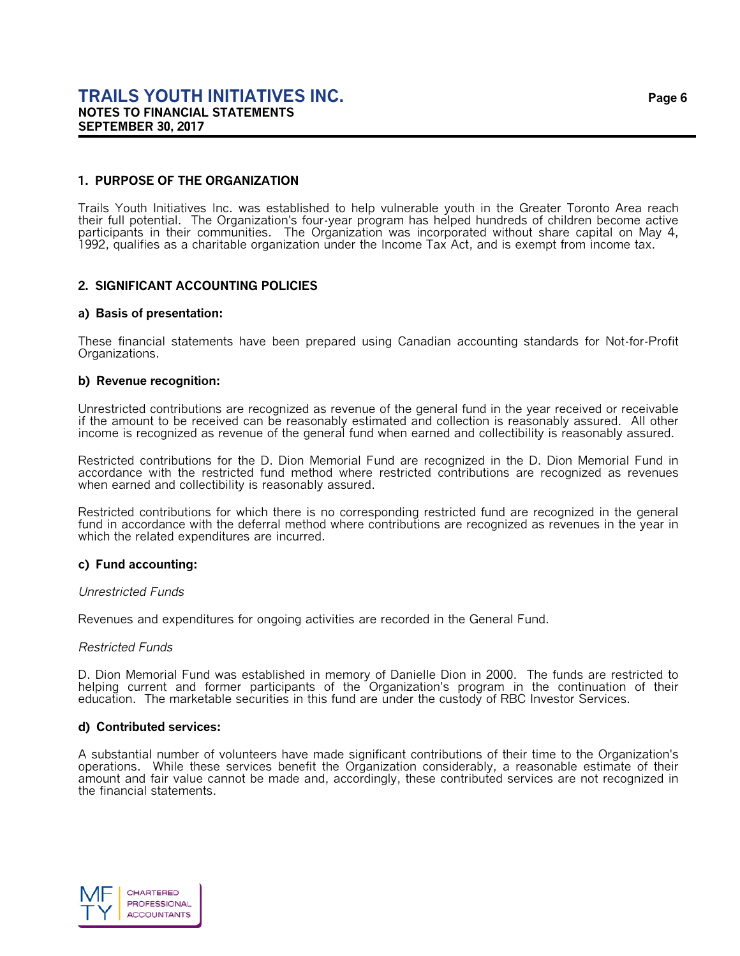Trails Youth Initiatives Inc. was established to help vulnerable youth in the Greater Toronto Area reach their full potential. The Organization's four-year program has helped hundreds of children become active participants in their communities. The Organization was incorporated without share capital on May 4, 1992, qualifies as a charitable organization under the Income Tax Act, and is exempt from income tax.

#### **2. SIGNIFICANT ACCOUNTING POLICIES**

#### **a) Basis of presentation:**

These financial statements have been prepared using Canadian accounting standards for Not-for-Profit Organizations.

#### **b) Revenue recognition:**

Unrestricted contributions are recognized as revenue of the general fund in the year received or receivable if the amount to be received can be reasonably estimated and collection is reasonably assured. All other income is recognized as revenue of the general fund when earned and collectibility is reasonably assured.

Restricted contributions for the D. Dion Memorial Fund are recognized in the D. Dion Memorial Fund in accordance with the restricted fund method where restricted contributions are recognized as revenues when earned and collectibility is reasonably assured.

Restricted contributions for which there is no corresponding restricted fund are recognized in the general fund in accordance with the deferral method where contributions are recognized as revenues in the year in which the related expenditures are incurred.

#### **c) Fund accounting:**

#### *Unrestricted Funds*

Revenues and expenditures for ongoing activities are recorded in the General Fund.

#### *Restricted Funds*

D. Dion Memorial Fund was established in memory of Danielle Dion in 2000. The funds are restricted to helping current and former participants of the Organization's program in the continuation of their education. The marketable securities in this fund are under the custody of RBC Investor Services.

#### **d) Contributed services:**

A substantial number of volunteers have made significant contributions of their time to the Organization's operations. While these services benefit the Organization considerably, a reasonable estimate of their amount and fair value cannot be made and, accordingly, these contributed services are not recognized in the financial statements.

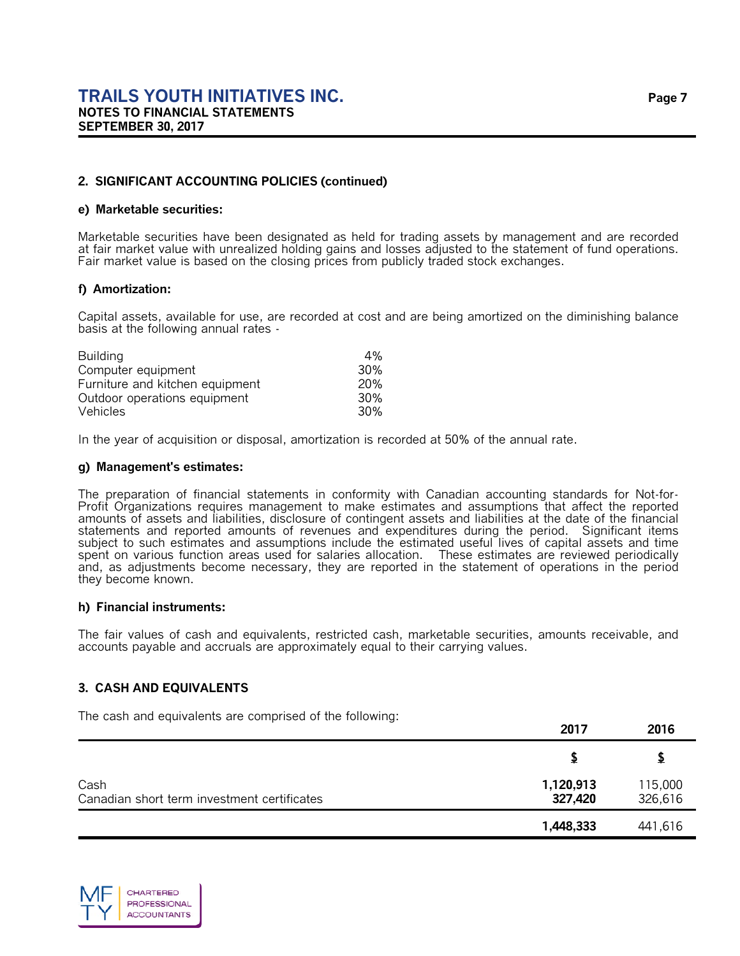### **2. SIGNIFICANT ACCOUNTING POLICIES (continued)**

#### **e) Marketable securities:**

Marketable securities have been designated as held for trading assets by management and are recorded at fair market value with unrealized holding gains and losses adjusted to the statement of fund operations. Fair market value is based on the closing prices from publicly traded stock exchanges.

#### **f) Amortization:**

Capital assets, available for use, are recorded at cost and are being amortized on the diminishing balance basis at the following annual rates -

| <b>Building</b>                 | 4%   |
|---------------------------------|------|
| Computer equipment              | 30%  |
| Furniture and kitchen equipment | 20%  |
| Outdoor operations equipment    | .30% |
| Vehicles                        | 30%  |

In the year of acquisition or disposal, amortization is recorded at 50% of the annual rate.

#### **g) Management's estimates:**

The preparation of financial statements in conformity with Canadian accounting standards for Not-for-Profit Organizations requires management to make estimates and assumptions that affect the reported amounts of assets and liabilities, disclosure of contingent assets and liabilities at the date of the financial statements and reported amounts of revenues and expenditures during the period. Significant items subject to such estimates and assumptions include the estimated useful lives of capital assets and time spent on various function areas used for salaries allocation. These estimates are reviewed periodically and, as adjustments become necessary, they are reported in the statement of operations in the period they become known.

#### **h) Financial instruments:**

The fair values of cash and equivalents, restricted cash, marketable securities, amounts receivable, and accounts payable and accruals are approximately equal to their carrying values.

#### **3. CASH AND EQUIVALENTS**

The cash and equivalents are comprised of the following:

|                                                     | 2017                 | 2016               |
|-----------------------------------------------------|----------------------|--------------------|
|                                                     | \$                   | \$                 |
| Cash<br>Canadian short term investment certificates | 1,120,913<br>327,420 | 115,000<br>326,616 |
|                                                     | 1,448,333            | 441,616            |

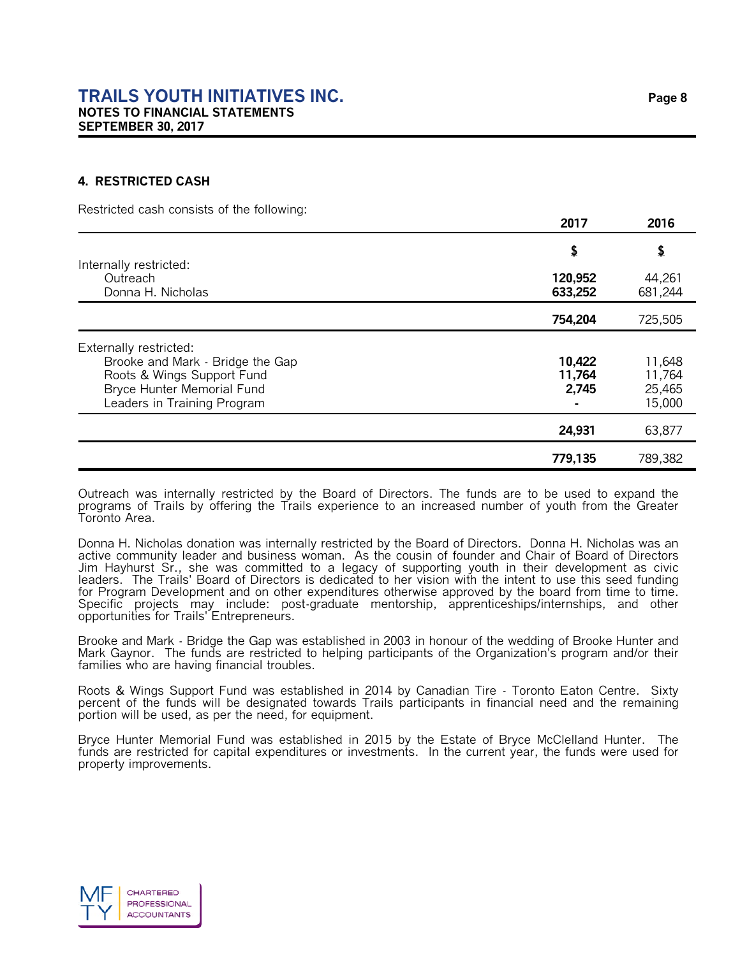### **4. RESTRICTED CASH**

Restricted cash consists of the following:

|                                                                                                                                                       | 2017                      | 2016                                 |
|-------------------------------------------------------------------------------------------------------------------------------------------------------|---------------------------|--------------------------------------|
|                                                                                                                                                       | \$                        | \$                                   |
| Internally restricted:<br>Outreach<br>Donna H. Nicholas                                                                                               | 120,952<br>633,252        | 44,261<br>681,244                    |
|                                                                                                                                                       | 754,204                   | 725,505                              |
| Externally restricted:<br>Brooke and Mark - Bridge the Gap<br>Roots & Wings Support Fund<br>Bryce Hunter Memorial Fund<br>Leaders in Training Program | 10,422<br>11,764<br>2,745 | 11,648<br>11,764<br>25,465<br>15,000 |
|                                                                                                                                                       | 24,931                    | 63,877                               |
|                                                                                                                                                       | 779,135                   | 789,382                              |

Outreach was internally restricted by the Board of Directors. The funds are to be used to expand the programs of Trails by offering the Trails experience to an increased number of youth from the Greater Toronto Area.

Donna H. Nicholas donation was internally restricted by the Board of Directors. Donna H. Nicholas was an active community leader and business woman. As the cousin of founder and Chair of Board of Directors Jim Hayhurst Sr., she was committed to a legacy of supporting youth in their development as civic leaders. The Trails' Board of Directors is dedicated to her vision with the intent to use this seed funding for Program Development and on other expenditures otherwise approved by the board from time to time. Specific projects may include: post-graduate mentorship, apprenticeships/internships, and other opportunities for Trails' Entrepreneurs.

Brooke and Mark - Bridge the Gap was established in 2003 in honour of the wedding of Brooke Hunter and Mark Gaynor. The funds are restricted to helping participants of the Organization's program and/or their families who are having financial troubles.

Roots & Wings Support Fund was established in 2014 by Canadian Tire - Toronto Eaton Centre. Sixty percent of the funds will be designated towards Trails participants in financial need and the remaining portion will be used, as per the need, for equipment.

Bryce Hunter Memorial Fund was established in 2015 by the Estate of Bryce McClelland Hunter. The funds are restricted for capital expenditures or investments. In the current year, the funds were used for property improvements.

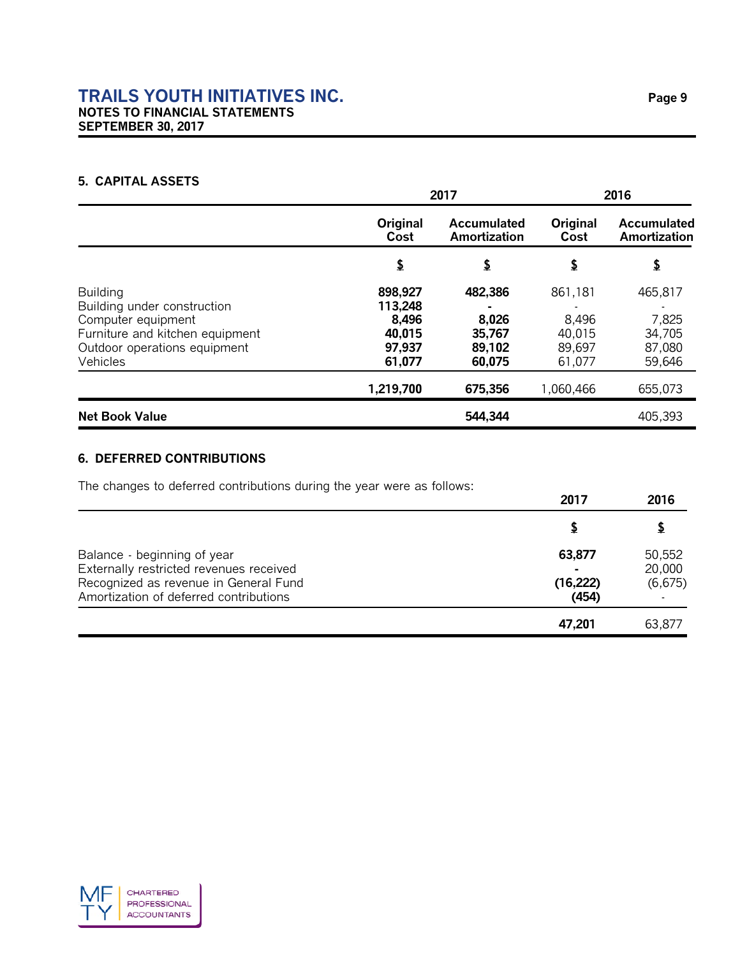### **5. CAPITAL ASSETS**

|                                 | 2017             |                             |                  | 2016                        |  |
|---------------------------------|------------------|-----------------------------|------------------|-----------------------------|--|
|                                 | Original<br>Cost | Accumulated<br>Amortization | Original<br>Cost | Accumulated<br>Amortization |  |
|                                 | \$               | \$                          | \$               | \$                          |  |
| <b>Building</b>                 | 898,927          | 482,386                     | 861,181          | 465,817                     |  |
| Building under construction     | 113,248          |                             |                  |                             |  |
| Computer equipment              | 8,496            | 8,026                       | 8,496            | 7,825                       |  |
| Furniture and kitchen equipment | 40,015           | 35,767                      | 40,015           | 34,705                      |  |
| Outdoor operations equipment    | 97,937           | 89,102                      | 89,697           | 87,080                      |  |
| Vehicles                        | 61,077           | 60,075                      | 61,077           | 59,646                      |  |
|                                 | 1,219,700        | 675,356                     | 1,060,466        | 655,073                     |  |
| <b>Net Book Value</b>           |                  | 544,344                     |                  | 405,393                     |  |

## **6. DEFERRED CONTRIBUTIONS**

The changes to deferred contributions during the year were as follows:

|                                                                                 | 2017               | 2016             |
|---------------------------------------------------------------------------------|--------------------|------------------|
|                                                                                 |                    |                  |
| Balance - beginning of year<br>Externally restricted revenues received          | 63,877             | 50,552<br>20,000 |
| Recognized as revenue in General Fund<br>Amortization of deferred contributions | (16, 222)<br>(454) | (6, 675)         |
|                                                                                 | 47,201             | 63,877           |

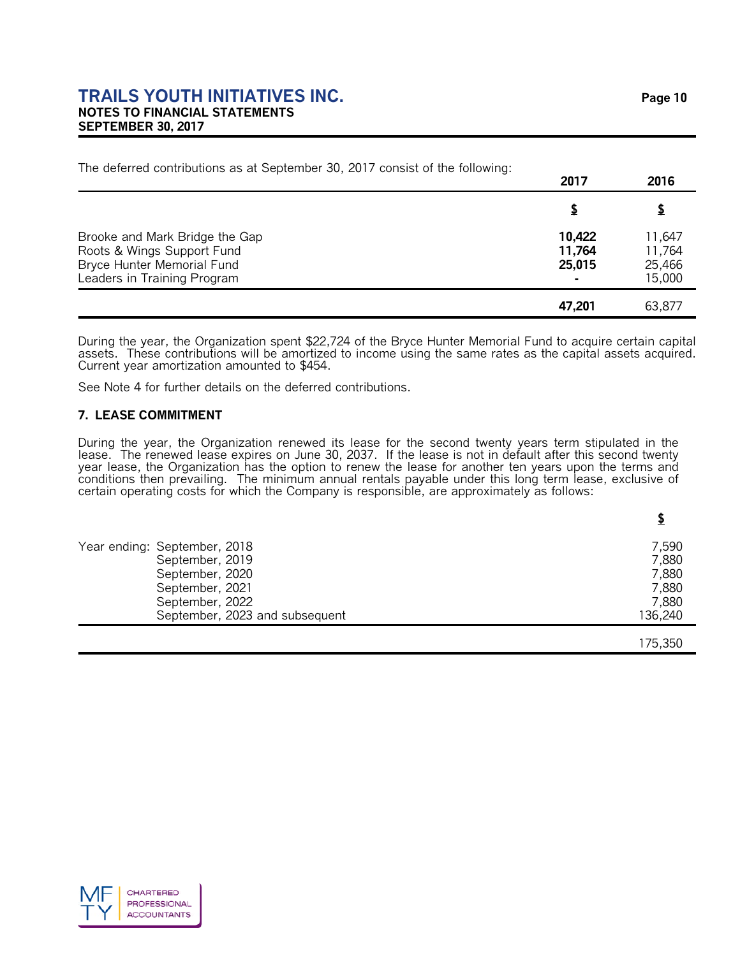### **TRAILS YOUTH INITIATIVES INC. Page 10 NOTES TO FINANCIAL STATEMENTS SEPTEMBER 30, 2017**

The deferred contributions as at September 30, 2017 consist of the following: **2017 2016 \$ \$** Brooke and Mark Bridge the Gap **10,422** 11,647 Roots & Wings Support Fund **11,764** 11,764 Bryce Hunter Memorial Fund<br>Leaders in Training Program **1986 125,000**<br>Leaders in Training Program **Leaders in Training Program 47,201** 63,877

During the year, the Organization spent \$22,724 of the Bryce Hunter Memorial Fund to acquire certain capital assets. These contributions will be amortized to income using the same rates as the capital assets acquired. Current year amortization amounted to \$454.

See Note 4 for further details on the deferred contributions.

## **7. LEASE COMMITMENT**

During the year, the Organization renewed its lease for the second twenty years term stipulated in the lease. The renewed lease expires on June 30, 2037. If the lease is not in default after this second twenty year lease, the Organization has the option to renew the lease for another ten years upon the terms and conditions then prevailing. The minimum annual rentals payable under this long term lease, exclusive of certain operating costs for which the Company is responsible, are approximately as follows:

| Year ending: September, 2018   | 7,590   |
|--------------------------------|---------|
| September, 2019                | 7,880   |
| September, 2020                | 7,880   |
| September, 2021                | 7,880   |
| September, 2022                | 7,880   |
| September, 2023 and subsequent | 136,240 |
|                                |         |

175,350

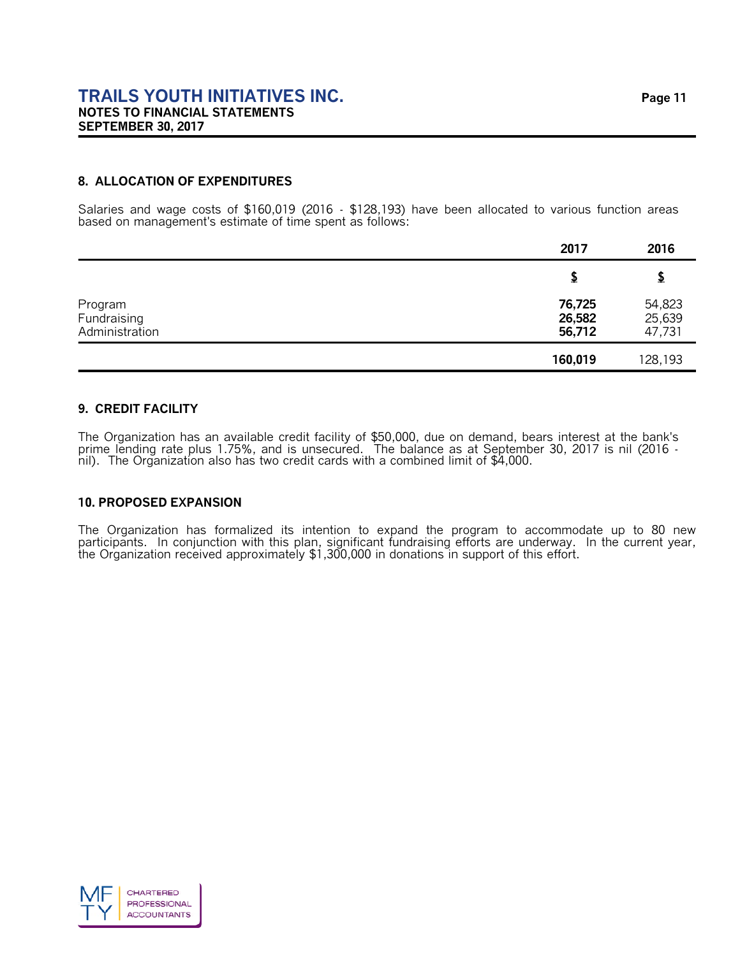#### **8. ALLOCATION OF EXPENDITURES**

Salaries and wage costs of \$160,019 (2016 - \$128,193) have been allocated to various function areas based on management's estimate of time spent as follows:

|                                          | 2017                       | 2016                       |
|------------------------------------------|----------------------------|----------------------------|
|                                          | \$                         | \$                         |
| Program<br>Fundraising<br>Administration | 76,725<br>26,582<br>56,712 | 54,823<br>25,639<br>47,731 |
|                                          | 160,019                    | 128,193                    |

#### **9. CREDIT FACILITY**

The Organization has an available credit facility of \$50,000, due on demand, bears interest at the bank's prime lending rate plus 1.75%, and is unsecured. The balance as at September 30, 2017 is nil (2016 nil). The Organization also has two credit cards with a combined limit of \$4,000.

#### **10. PROPOSED EXPANSION**

The Organization has formalized its intention to expand the program to accommodate up to 80 new participants. In conjunction with this plan, significant fundraising efforts are underway. In the current year, the Organization received approximately \$1,300,000 in donations in support of this effort.